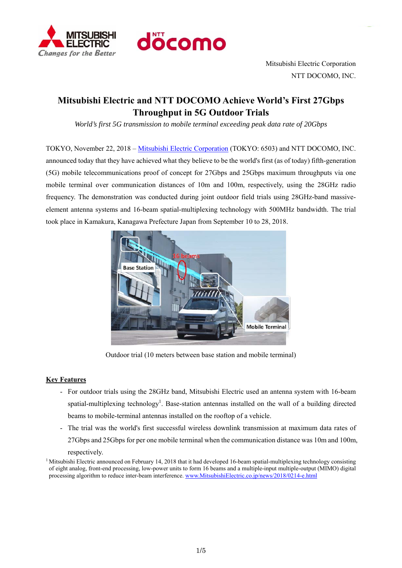



Mitsubishi Electric Corporation NTT DOCOMO, INC.

# **Mitsubishi Electric and NTT DOCOMO Achieve World's First 27Gbps Throughput in 5G Outdoor Trials**

*World's first 5G transmission to mobile terminal exceeding peak data rate of 20Gbps* 

TOKYO, November 22, 2018 – Mitsubishi Electric Corporation (TOKYO: 6503) and NTT DOCOMO, INC. announced today that they have achieved what they believe to be the world's first (as of today) fifth-generation (5G) mobile telecommunications proof of concept for 27Gbps and 25Gbps maximum throughputs via one mobile terminal over communication distances of 10m and 100m, respectively, using the 28GHz radio frequency. The demonstration was conducted during joint outdoor field trials using 28GHz-band massiveelement antenna systems and 16-beam spatial-multiplexing technology with 500MHz bandwidth. The trial took place in Kamakura, Kanagawa Prefecture Japan from September 10 to 28, 2018.



Outdoor trial (10 meters between base station and mobile terminal)

# **Key Features**

- For outdoor trials using the 28GHz band, Mitsubishi Electric used an antenna system with 16-beam spatial-multiplexing technology<sup>1</sup>. Base-station antennas installed on the wall of a building directed beams to mobile-terminal antennas installed on the rooftop of a vehicle.
- The trial was the world's first successful wireless downlink transmission at maximum data rates of 27Gbps and 25Gbps for per one mobile terminal when the communication distance was 10m and 100m,

respectively. 1 Mitsubishi Electric announced on February 14, 2018 that it had developed 16-beam spatial-multiplexing technology consisting of eight analog, front-end processing, low-power units to form 16 beams and a multiple-input multiple-output (MIMO) digital processing algorithm to reduce inter-beam interference. www.MitsubishiElectric.co.jp/news/2018/0214-e.html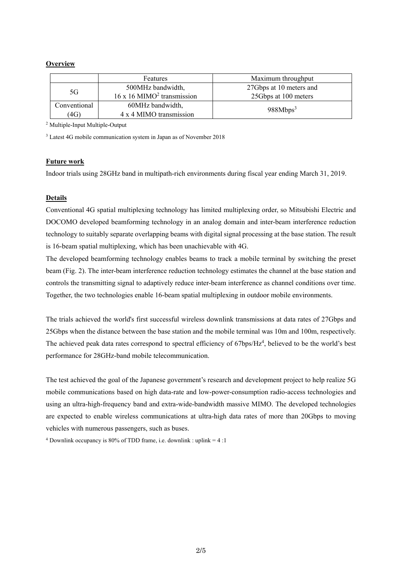### **Overview**

|              | Features                                        | Maximum throughput      |
|--------------|-------------------------------------------------|-------------------------|
| 5G           | 500MHz bandwidth,                               | 27Gbps at 10 meters and |
|              | $16 \times 16$ MIMO <sup>2</sup> transmission   | 25Gbps at 100 meters    |
| Conventional | 60MHz bandwidth,                                |                         |
| (4G)         | 988Mbps <sup>3</sup><br>4 x 4 MIMO transmission |                         |

2 Multiple-Input Multiple-Output

3 Latest 4G mobile communication system in Japan as of November 2018

#### **Future work**

Indoor trials using 28GHz band in multipath-rich environments during fiscal year ending March 31, 2019.

### **Details**

Conventional 4G spatial multiplexing technology has limited multiplexing order, so Mitsubishi Electric and DOCOMO developed beamforming technology in an analog domain and inter-beam interference reduction technology to suitably separate overlapping beams with digital signal processing at the base station. The result is 16-beam spatial multiplexing, which has been unachievable with 4G.

The developed beamforming technology enables beams to track a mobile terminal by switching the preset beam (Fig. 2). The inter-beam interference reduction technology estimates the channel at the base station and controls the transmitting signal to adaptively reduce inter-beam interference as channel conditions over time. Together, the two technologies enable 16-beam spatial multiplexing in outdoor mobile environments.

The trials achieved the world's first successful wireless downlink transmissions at data rates of 27Gbps and 25Gbps when the distance between the base station and the mobile terminal was 10m and 100m, respectively. The achieved peak data rates correspond to spectral efficiency of  $67bps/Hz<sup>4</sup>$ , believed to be the world's best performance for 28GHz-band mobile telecommunication.

The test achieved the goal of the Japanese government's research and development project to help realize 5G mobile communications based on high data-rate and low-power-consumption radio-access technologies and using an ultra-high-frequency band and extra-wide-bandwidth massive MIMO. The developed technologies are expected to enable wireless communications at ultra-high data rates of more than 20Gbps to moving vehicles with numerous passengers, such as buses.

<sup>4</sup> Downlink occupancy is 80% of TDD frame, i.e. downlink : uplink =  $4:1$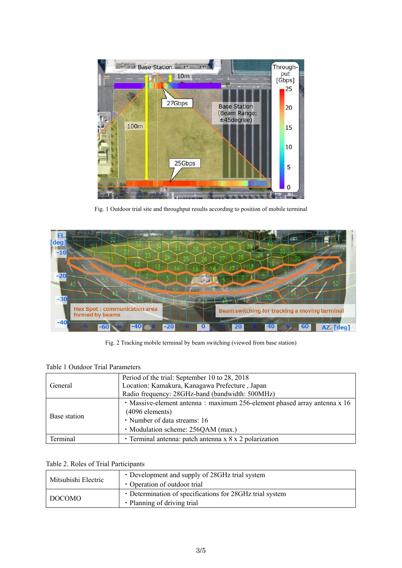

Fig. 1 Outdoor trial site and throughput results according to position of mobile terminal



Fig. 2 Tracking mobile terminal by beam switching (viewed from base station)

# Table 1 Outdoor Trial Parameters

|              | Period of the trial: September 10 to 28, 2018                            |  |
|--------------|--------------------------------------------------------------------------|--|
| General      | Location: Kamakura, Kanagawa Prefecture, Japan                           |  |
|              | Radio frequency: 28GHz-band (bandwidth: 500MHz)                          |  |
|              | • Massive-element antenna: maximum 256-element phased array antenna x 16 |  |
| Base station | $(4096$ elements)                                                        |  |
|              | · Number of data streams: 16                                             |  |
|              | · Modulation scheme: 256QAM (max.)                                       |  |
| Terminal     | • Terminal antenna: patch antenna x 8 x 2 polarization                   |  |

# Table 2. Roles of Trial Participants

| Mitsubishi Electric | • Development and supply of 28GHz trial system<br>• Operation of outdoor trial          |
|---------------------|-----------------------------------------------------------------------------------------|
| DOCOMO              | • Determination of specifications for 28GHz trial system<br>• Planning of driving trial |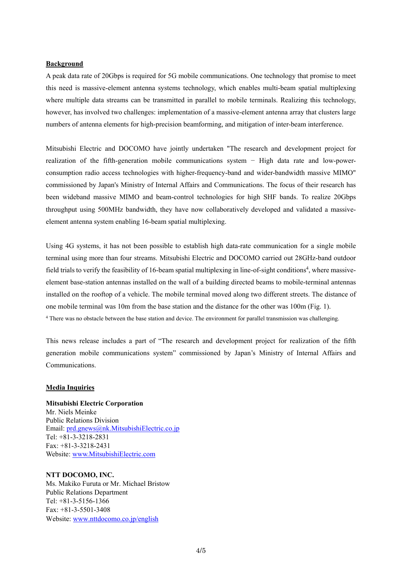#### **Background**

A peak data rate of 20Gbps is required for 5G mobile communications. One technology that promise to meet this need is massive-element antenna systems technology, which enables multi-beam spatial multiplexing where multiple data streams can be transmitted in parallel to mobile terminals. Realizing this technology, however, has involved two challenges: implementation of a massive-element antenna array that clusters large numbers of antenna elements for high-precision beamforming, and mitigation of inter-beam interference.

Mitsubishi Electric and DOCOMO have jointly undertaken "The research and development project for realization of the fifth-generation mobile communications system − High data rate and low-powerconsumption radio access technologies with higher-frequency-band and wider-bandwidth massive MIMO" commissioned by Japan's Ministry of Internal Affairs and Communications. The focus of their research has been wideband massive MIMO and beam-control technologies for high SHF bands. To realize 20Gbps throughput using 500MHz bandwidth, they have now collaboratively developed and validated a massiveelement antenna system enabling 16-beam spatial multiplexing.

Using 4G systems, it has not been possible to establish high data-rate communication for a single mobile terminal using more than four streams. Mitsubishi Electric and DOCOMO carried out 28GHz-band outdoor field trials to verify the feasibility of 16-beam spatial multiplexing in line-of-sight conditions<sup>4</sup>, where massiveelement base-station antennas installed on the wall of a building directed beams to mobile-terminal antennas installed on the rooftop of a vehicle. The mobile terminal moved along two different streets. The distance of one mobile terminal was 10m from the base station and the distance for the other was 100m (Fig. 1). 4 There was no obstacle between the base station and device. The environment for parallel transmission was challenging.

This news release includes a part of "The research and development project for realization of the fifth generation mobile communications system" commissioned by Japan's Ministry of Internal Affairs and Communications.

#### **Media Inquiries**

# **Mitsubishi Electric Corporation**  Mr. Niels Meinke Public Relations Division Email: prd.gnews@nk.MitsubishiElectric.co.jp Tel: +81-3-3218-2831 Fax: +81-3-3218-2431 Website: www.MitsubishiElectric.com

#### **NTT DOCOMO, INC.**

Ms. Makiko Furuta or Mr. Michael Bristow Public Relations Department Tel: +81-3-5156-1366 Fax: +81-3-5501-3408 Website: www.nttdocomo.co.jp/english